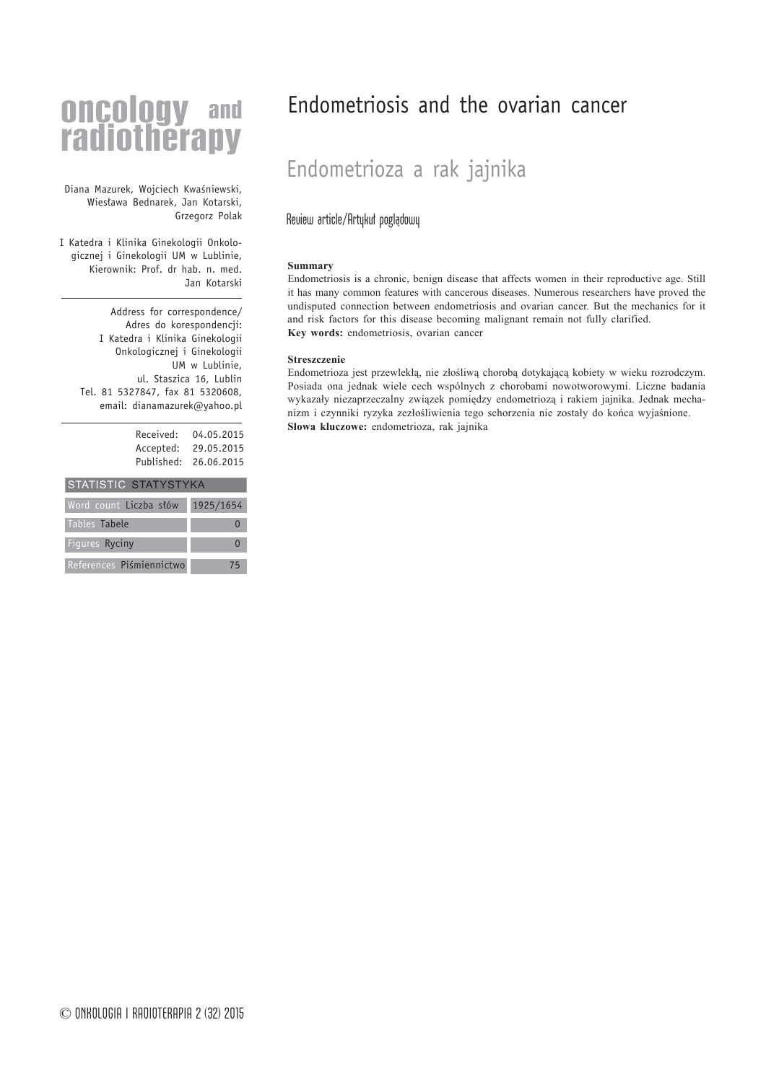# **oncology** and<br>radiotherapy

Diana Mazurek, Wojciech Kwaśniewski, Wiesława Bednarek, Jan Kotarski, Grzegorz Polak

I Katedra i Klinika Ginekologii Onkologicznej i Ginekologii UM w Lublinie, Kierownik: Prof. dr hab. n. med. Jan Kotarski

Address for correspondence/ Adres do korespondencji: I Katedra i Klinika Ginekologii Onkologicznej i Ginekologii UM w Lublinie, ul. Staszica 16, Lublin Tel. 81 5327847, fax 81 5320608, email: dianamazurek@yahoo.pl

| Received:  | 04.05.2015 |
|------------|------------|
| Accepted:  | 29.05.2015 |
| Published: | 26.06.2015 |
|            |            |

| <b>STATISTIC STATYSTYKA</b> |           |  |
|-----------------------------|-----------|--|
| Word count Liczba słów      | 1925/1654 |  |
| Tables Tabele               |           |  |
| Figures Ryciny              |           |  |
| References Piśmiennictwo    | 75        |  |

# Endometriosis and the ovarian cancer

# Endometrioza a rak jajnika

# Review article/Artykuł poglądowy

#### **Summary**

Endometriosis is a chronic, benign disease that affects women in their reproductive age. Still it has many common features with cancerous diseases. Numerous researchers have proved the undisputed connection between endometriosis and ovarian cancer. But the mechanics for it and risk factors for this disease becoming malignant remain not fully clarified. **Key words:** endometriosis, ovarian cancer

#### **Streszczenie**

Endometrioza jest przewlekłą, nie złośliwą chorobą dotykającą kobiety w wieku rozrodczym. Posiada ona jednak wiele cech wspólnych z chorobami nowotworowymi. Liczne badania wykazały niezaprzeczalny związek pomiędzy endometriozą i rakiem jajnika. Jednak mechanizm i czynniki ryzyka zezłośliwienia tego schorzenia nie zostały do końca wyjaśnione. Słowa kluczowe: endometrioza, rak jajnika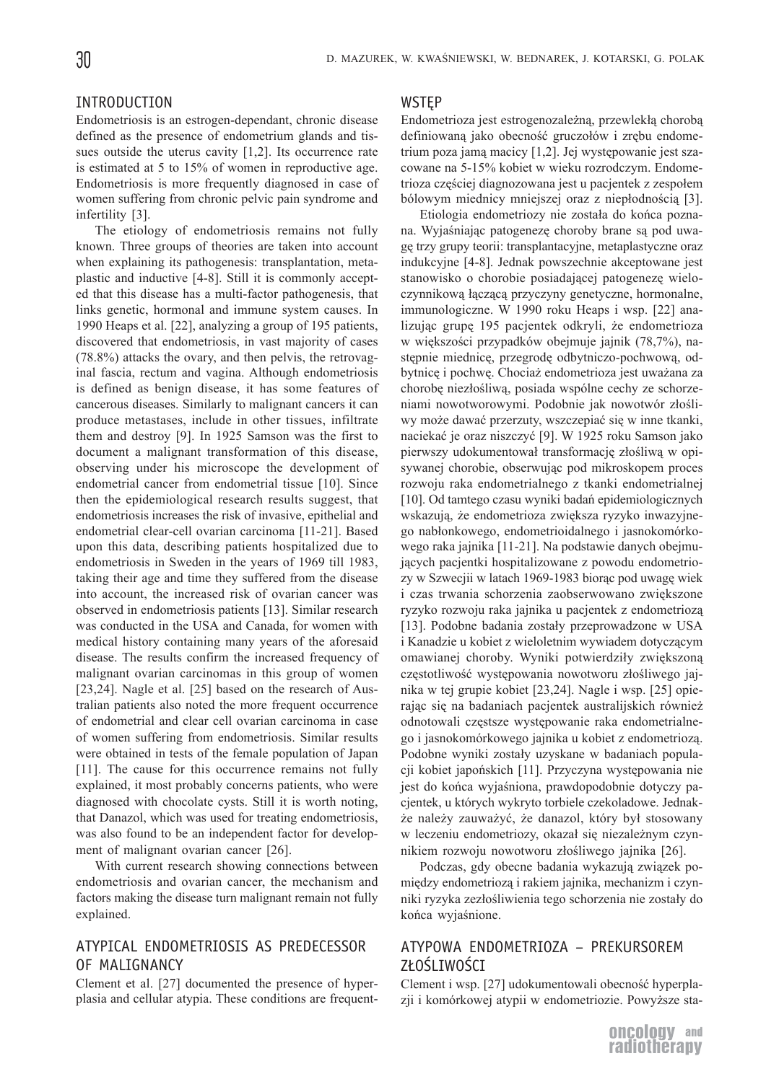#### INTRODUCTION

Endometriosis is an estrogen-dependant, chronic disease defined as the presence of endometrium glands and tissues outside the uterus cavity [1,2]. Its occurrence rate is estimated at 5 to 15% of women in reproductive age. Endometriosis is more frequently diagnosed in case of women suffering from chronic pelvic pain syndrome and infertility [3].

The etiology of endometriosis remains not fully known. Three groups of theories are taken into account when explaining its pathogenesis: transplantation, metaplastic and inductive [4-8]. Still it is commonly accepted that this disease has a multi-factor pathogenesis, that links genetic, hormonal and immune system causes. In 1990 Heaps et al. [22], analyzing a group of 195 patients, discovered that endometriosis, in vast majority of cases (78.8%) attacks the ovary, and then pelvis, the retrovaginal fascia, rectum and vagina. Although endometriosis is defined as benign disease, it has some features of cancerous diseases. Similarly to malignant cancers it can produce metastases, include in other tissues, infiltrate them and destroy [9]. In 1925 Samson was the first to document a malignant transformation of this disease, observing under his microscope the development of endometrial cancer from endometrial tissue [10]. Since then the epidemiological research results suggest, that endometriosis increases the risk of invasive, epithelial and endometrial clear-cell ovarian carcinoma [11-21]. Based upon this data, describing patients hospitalized due to endometriosis in Sweden in the years of 1969 till 1983, taking their age and time they suffered from the disease into account, the increased risk of ovarian cancer was observed in endometriosis patients [13]. Similar research was conducted in the USA and Canada, for women with medical history containing many years of the aforesaid disease. The results confirm the increased frequency of malignant ovarian carcinomas in this group of women [23,24]. Nagle et al. [25] based on the research of Australian patients also noted the more frequent occurrence of endometrial and clear cell ovarian carcinoma in case of women suffering from endometriosis. Similar results were obtained in tests of the female population of Japan [11]. The cause for this occurrence remains not fully explained, it most probably concerns patients, who were diagnosed with chocolate cysts. Still it is worth noting, that Danazol, which was used for treating endometriosis, was also found to be an independent factor for development of malignant ovarian cancer [26].

With current research showing connections between endometriosis and ovarian cancer, the mechanism and factors making the disease turn malignant remain not fully explained.

# ATYPICAL ENDOMETRIOSIS AS PREDECESSOR OF MALIGNANCY

Clement et al. [27] documented the presence of hyperplasia and cellular atypia. These conditions are frequent-

#### **WSTEP**

Endometrioza jest estrogenozależną, przewlekłą chorobą definiowaną jako obecność gruczołów i zrębu endometrium poza jamą macicy [1,2]. Jej występowanie jest szacowane na 5-15% kobiet w wieku rozrodczym. Endometrioza częściej diagnozowana jest u pacjentek z zespołem bólowym miednicy mniejszej oraz z niepłodnością [3].

Etiologia endometriozy nie została do końca poznana. Wyjaśniając patogenezę choroby brane są pod uwagê trzy grupy teorii: transplantacyjne, metaplastyczne oraz indukcyjne [4-8]. Jednak powszechnie akceptowane jest stanowisko o chorobie posiadającej patogenezę wieloczynnikową łączącą przyczyny genetyczne, hormonalne, immunologiczne. W 1990 roku Heaps i wsp. [22] analizując grupę 195 pacjentek odkryli, że endometrioza w większości przypadków obejmuje jajnik (78,7%), następnie miednicę, przegrodę odbytniczo-pochwową, odbytnicę i pochwę. Chociaż endometrioza jest uważana za chorobę niezłośliwą, posiada wspólne cechy ze schorzeniami nowotworowymi. Podobnie jak nowotwór złośliwy może dawać przerzuty, wszczepiać się w inne tkanki, naciekać je oraz niszczyć [9]. W 1925 roku Samson jako pierwszy udokumentował transformację złośliwą w opisywanej chorobie, obserwując pod mikroskopem proces rozwoju raka endometrialnego z tkanki endometrialnej [10]. Od tamtego czasu wyniki badañ epidemiologicznych wskazują, że endometrioza zwiększa ryzyko inwazyjnego nabłonkowego, endometrioidalnego i jasnokomórkowego raka jajnika [11-21]. Na podstawie danych obejmujących pacjentki hospitalizowane z powodu endometriozy w Szwecjii w latach 1969-1983 biorąc pod uwagę wiek i czas trwania schorzenia zaobserwowano zwiększone ryzyko rozwoju raka jajnika u pacjentek z endometriozą [13]. Podobne badania zostały przeprowadzone w USA i Kanadzie u kobiet z wieloletnim wywiadem dotyczącym omawianej choroby. Wyniki potwierdziły zwiększoną częstotliwość występowania nowotworu złośliwego jajnika w tej grupie kobiet [23,24]. Nagle i wsp. [25] opierając się na badaniach pacjentek australijskich również odnotowali częstsze występowanie raka endometrialnego i jasnokomórkowego jajnika u kobiet z endometriozą. Podobne wyniki zostały uzyskane w badaniach populacji kobiet japońskich [11]. Przyczyna występowania nie jest do końca wyjaśniona, prawdopodobnie dotyczy pacjentek, u których wykryto torbiele czekoladowe. Jednak że należy zauważyć, że danazol, który był stosowany w leczeniu endometriozy, okazał się niezależnym czynnikiem rozwoju nowotworu złośliwego jajnika [26].

Podczas, gdy obecne badania wykazują związek pomiędzy endometriozą i rakiem jajnika, mechanizm i czynniki ryzyka zezłośliwienia tego schorzenia nie zostały do końca wyjaśnione.

# ATYPOWA ENDOMETRIOZA – PREKURSOREM ZŁOŚLIWOŚCI

Clement i wsp. [27] udokumentowali obecność hyperplazji i komórkowej atypii w endometriozie. Powyższe sta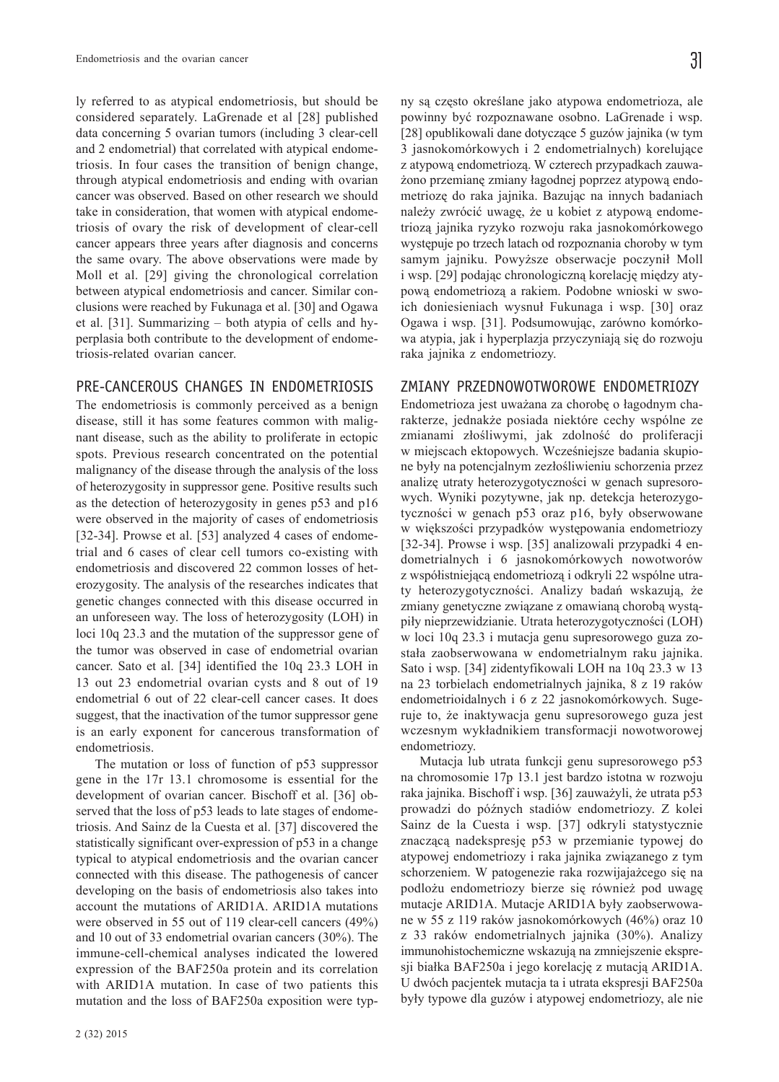ly referred to as atypical endometriosis, but should be considered separately. LaGrenade et al [28] published data concerning 5 ovarian tumors (including 3 clear-cell and 2 endometrial) that correlated with atypical endometriosis. In four cases the transition of benign change, through atypical endometriosis and ending with ovarian cancer was observed. Based on other research we should take in consideration, that women with atypical endometriosis of ovary the risk of development of clear-cell cancer appears three years after diagnosis and concerns the same ovary. The above observations were made by Moll et al. [29] giving the chronological correlation between atypical endometriosis and cancer. Similar conclusions were reached by Fukunaga et al. [30] and Ogawa et al. [31]. Summarizing – both atypia of cells and hyperplasia both contribute to the development of endometriosis-related ovarian cancer.

## PRE-CANCEROUS CHANGES IN ENDOMETRIOSIS

The endometriosis is commonly perceived as a benign disease, still it has some features common with malignant disease, such as the ability to proliferate in ectopic spots. Previous research concentrated on the potential malignancy of the disease through the analysis of the loss of heterozygosity in suppressor gene. Positive results such as the detection of heterozygosity in genes p53 and p16 were observed in the majority of cases of endometriosis [32-34]. Prowse et al. [53] analyzed 4 cases of endometrial and 6 cases of clear cell tumors co-existing with endometriosis and discovered 22 common losses of heterozygosity. The analysis of the researches indicates that genetic changes connected with this disease occurred in an unforeseen way. The loss of heterozygosity (LOH) in loci 10q 23.3 and the mutation of the suppressor gene of the tumor was observed in case of endometrial ovarian cancer. Sato et al. [34] identified the 10q 23.3 LOH in 13 out 23 endometrial ovarian cysts and 8 out of 19 endometrial 6 out of 22 clear-cell cancer cases. It does suggest, that the inactivation of the tumor suppressor gene is an early exponent for cancerous transformation of endometriosis.

The mutation or loss of function of p53 suppressor gene in the 17r 13.1 chromosome is essential for the development of ovarian cancer. Bischoff et al. [36] observed that the loss of p53 leads to late stages of endometriosis. And Sainz de la Cuesta et al. [37] discovered the statistically significant over-expression of p53 in a change typical to atypical endometriosis and the ovarian cancer connected with this disease. The pathogenesis of cancer developing on the basis of endometriosis also takes into account the mutations of ARID1A. ARID1A mutations were observed in 55 out of 119 clear-cell cancers (49%) and 10 out of 33 endometrial ovarian cancers (30%). The immune-cell-chemical analyses indicated the lowered expression of the BAF250a protein and its correlation with ARID1A mutation. In case of two patients this mutation and the loss of BAF250a exposition were typny są często określane jako atypowa endometrioza, ale powinny być rozpoznawane osobno. LaGrenade i wsp. [28] opublikowali dane dotyczące 5 guzów jajnika (w tym 3 jasnokomórkowych i 2 endometrialnych) korelujące z atypową endometriozą. W czterech przypadkach zauważono przemianę zmiany łagodnej poprzez atypowa endometriozę do raka jajnika. Bazując na innych badaniach należy zwrócić uwagę, że u kobiet z atypową endometriozą jajnika ryzyko rozwoju raka jasnokomórkowego wystêpuje po trzech latach od rozpoznania choroby w tym samym jajniku. Powyższe obserwacje poczynił Moll i wsp. [29] podając chronologiczną korelację między atypową endometriozą a rakiem. Podobne wnioski w swoich doniesieniach wysnuł Fukunaga i wsp. [30] oraz Ogawa i wsp. [31]. Podsumowując, zarówno komórkowa atypia, jak i hyperplazja przyczyniają się do rozwoju raka jajnika z endometriozy.

#### ZMIANY PRZEDNOWOTWOROWE ENDOMETRIOZY

Endometrioza jest uważana za chorobę o łagodnym charakterze, jednak¿e posiada niektóre cechy wspólne ze zmianami złośliwymi, jak zdolność do proliferacji w miejscach ektopowych. Wcześniejsze badania skupione były na potencjalnym zezłośliwieniu schorzenia przez analize utraty heterozygotyczności w genach supresorowych. Wyniki pozytywne, jak np. detekcja heterozygotyczności w genach p53 oraz p16, były obserwowane w większości przypadków występowania endometriozy [32-34]. Prowse i wsp. [35] analizowali przypadki 4 endometrialnych i 6 jasnokomórkowych nowotworów z współistniejącą endometriozą i odkryli 22 wspólne utraty heterozygotyczności. Analizy badań wskazują, że zmiany genetyczne związane z omawianą chorobą wystąpiły nieprzewidzianie. Utrata heterozygotyczności (LOH) w loci 10q 23.3 i mutacja genu supresorowego guza została zaobserwowana w endometrialnym raku jajnika. Sato i wsp. [34] zidentyfikowali LOH na 10q 23.3 w 13 na 23 torbielach endometrialnych jajnika, 8 z 19 raków endometrioidalnych i 6 z 22 jasnokomórkowych. Sugeruje to, ¿e inaktywacja genu supresorowego guza jest wczesnym wykładnikiem transformacji nowotworowej endometriozy.

Mutacja lub utrata funkcji genu supresorowego p53 na chromosomie 17p 13.1 jest bardzo istotna w rozwoju raka jajnika. Bischoff i wsp. [36] zauważyli, że utrata p53 prowadzi do późnych stadiów endometriozy. Z kolei Sainz de la Cuesta i wsp. [37] odkryli statystycznie znaczącą nadekspresję p53 w przemianie typowej do atypowej endometriozy i raka jajnika związanego z tym schorzeniem. W patogenezie raka rozwijajażcego się na podlożu endometriozy bierze się również pod uwagę mutacje ARID1A. Mutacje ARID1A były zaobserwowane w 55 z 119 raków jasnokomórkowych (46%) oraz 10 z 33 raków endometrialnych jajnika (30%). Analizy immunohistochemiczne wskazują na zmniejszenie ekspresji białka BAF250a i jego korelację z mutacją ARID1A. U dwóch pacjentek mutacja ta i utrata ekspresji BAF250a były typowe dla guzów i atypowej endometriozy, ale nie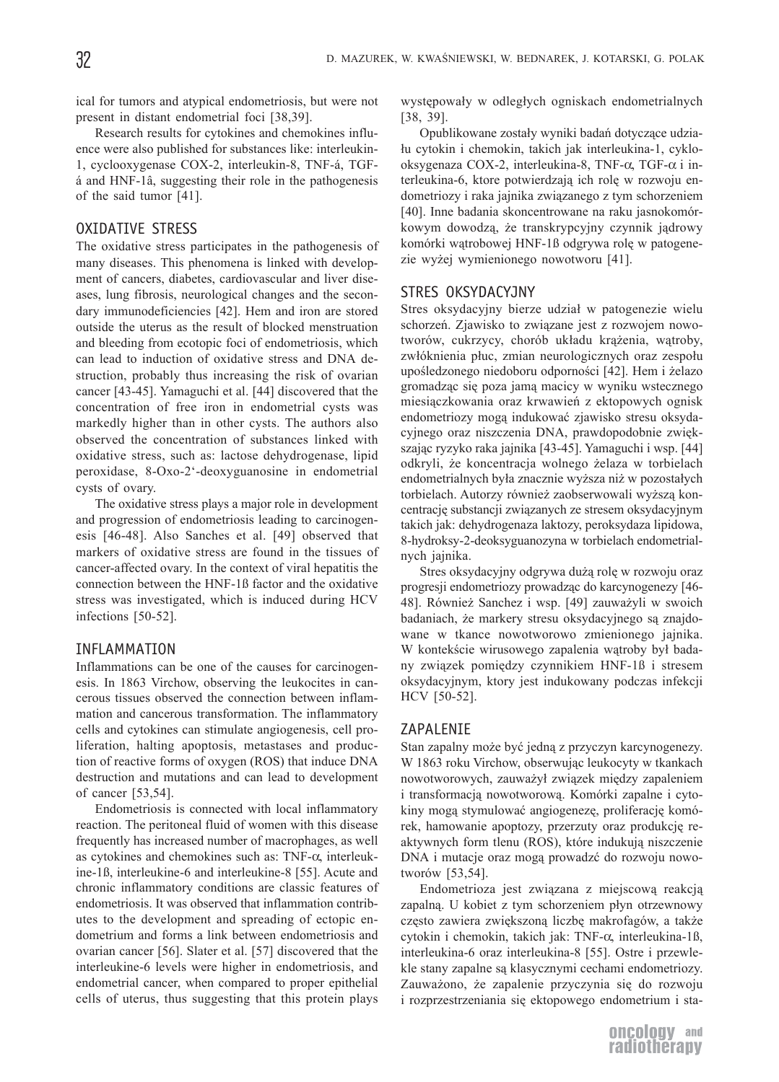ical for tumors and atypical endometriosis, but were not present in distant endometrial foci [38,39].

Research results for cytokines and chemokines influence were also published for substances like: interleukin-1, cyclooxygenase COX-2, interleukin-8, TNF-á, TGFá and HNF-1â, suggesting their role in the pathogenesis of the said tumor [41].

# OXIDATIVE STRESS

The oxidative stress participates in the pathogenesis of many diseases. This phenomena is linked with development of cancers, diabetes, cardiovascular and liver diseases, lung fibrosis, neurological changes and the secondary immunodeficiencies [42]. Hem and iron are stored outside the uterus as the result of blocked menstruation and bleeding from ecotopic foci of endometriosis, which can lead to induction of oxidative stress and DNA destruction, probably thus increasing the risk of ovarian cancer [43-45]. Yamaguchi et al. [44] discovered that the concentration of free iron in endometrial cysts was markedly higher than in other cysts. The authors also observed the concentration of substances linked with oxidative stress, such as: lactose dehydrogenase, lipid peroxidase, 8-Oxo-2'-deoxyguanosine in endometrial cysts of ovary.

The oxidative stress plays a major role in development and progression of endometriosis leading to carcinogenesis [46-48]. Also Sanches et al. [49] observed that markers of oxidative stress are found in the tissues of cancer-affected ovary. In the context of viral hepatitis the connection between the HNF-1ß factor and the oxidative stress was investigated, which is induced during HCV infections [50-52].

#### INFLAMMATION

Inflammations can be one of the causes for carcinogenesis. In 1863 Virchow, observing the leukocites in cancerous tissues observed the connection between inflammation and cancerous transformation. The inflammatory cells and cytokines can stimulate angiogenesis, cell proliferation, halting apoptosis, metastases and production of reactive forms of oxygen (ROS) that induce DNA destruction and mutations and can lead to development of cancer [53,54].

Endometriosis is connected with local inflammatory reaction. The peritoneal fluid of women with this disease frequently has increased number of macrophages, as well as cytokines and chemokines such as: TNF-α, interleukine-1ß, interleukine-6 and interleukine-8 [55]. Acute and chronic inflammatory conditions are classic features of endometriosis. It was observed that inflammation contributes to the development and spreading of ectopic endometrium and forms a link between endometriosis and ovarian cancer [56]. Slater et al. [57] discovered that the interleukine-6 levels were higher in endometriosis, and endometrial cancer, when compared to proper epithelial cells of uterus, thus suggesting that this protein plays

występowały w odległych ogniskach endometrialnych [38, 39].

Opublikowane zostały wyniki badań dotyczące udzia-³u cytokin i chemokin, takich jak interleukina-1, cyklooksygenaza COX-2, interleukina-8, TNF-α, TGF-α i interleukina-6, ktore potwierdzają ich rolę w rozwoju endometriozy i raka jajnika związanego z tym schorzeniem [40]. Inne badania skoncentrowane na raku jasnokomórkowym dowodzą, że transkrypcyjny czynnik jądrowy komórki watrobowej HNF-1ß odgrywa rolę w patogenezie wyżej wymienionego nowotworu [41].

#### STRES OKSYDACYJNY

Stres oksydacyjny bierze udział w patogenezie wielu schorzeń. Zjawisko to związane jest z rozwojem nowotworów, cukrzycy, chorób układu krążenia, wątroby, zwłóknienia płuc, zmian neurologicznych oraz zespołu upośledzonego niedoboru odporności [42]. Hem i żelazo gromadząc się poza jamą macicy w wyniku wstecznego miesiączkowania oraz krwawień z ektopowych ognisk endometriozy mogą indukować zjawisko stresu oksydacyjnego oraz niszczenia DNA, prawdopodobnie zwiększając ryzyko raka jajnika [43-45]. Yamaguchi i wsp. [44] odkryli, ¿e koncentracja wolnego ¿elaza w torbielach endometrialnych była znacznie wyższa niż w pozostałych torbielach. Autorzy również zaobserwowali wyższą koncentrację substancji związanych ze stresem oksydacyjnym takich jak: dehydrogenaza laktozy, peroksydaza lipidowa, 8-hydroksy-2-deoksyguanozyna w torbielach endometrialnych jajnika.

Stres oksydacyjny odgrywa dużą rolę w rozwoju oraz progresji endometriozy prowadząc do karcynogenezy [46-48]. Również Sanchez i wsp. [49] zauważyli w swoich badaniach, że markery stresu oksydacyjnego są znajdowane w tkance nowotworowo zmienionego jajnika. W kontekście wirusowego zapalenia wątroby był badany związek pomiędzy czynnikiem HNF-1ß i stresem oksydacyjnym, ktory jest indukowany podczas infekcji HCV [50-52].

#### ZAPALENIE

Stan zapalny może być jedną z przyczyn karcynogenezy. W 1863 roku Virchow, obserwując leukocyty w tkankach nowotworowych, zauważył związek między zapaleniem i transformacją nowotworową. Komórki zapalne i cytokiny mogą stymulować angiogenezę, proliferację komórek, hamowanie apoptozy, przerzuty oraz produkcję reaktywnych form tlenu (ROS), które indukują niszczenie DNA i mutacje oraz mogą prowadzć do rozwoju nowotworów [53,54].

Endometrioza jest związana z miejscową reakcją zapalną. U kobiet z tym schorzeniem płyn otrzewnowy często zawiera zwiększoną liczbę makrofagów, a także cytokin i chemokin, takich jak: TNF-α, interleukina-1ß, interleukina-6 oraz interleukina-8 [55]. Ostre i przewlekle stany zapalne są klasycznymi cechami endometriozy. Zauważono, że zapalenie przyczynia się do rozwoju i rozprzestrzeniania się ektopowego endometrium i sta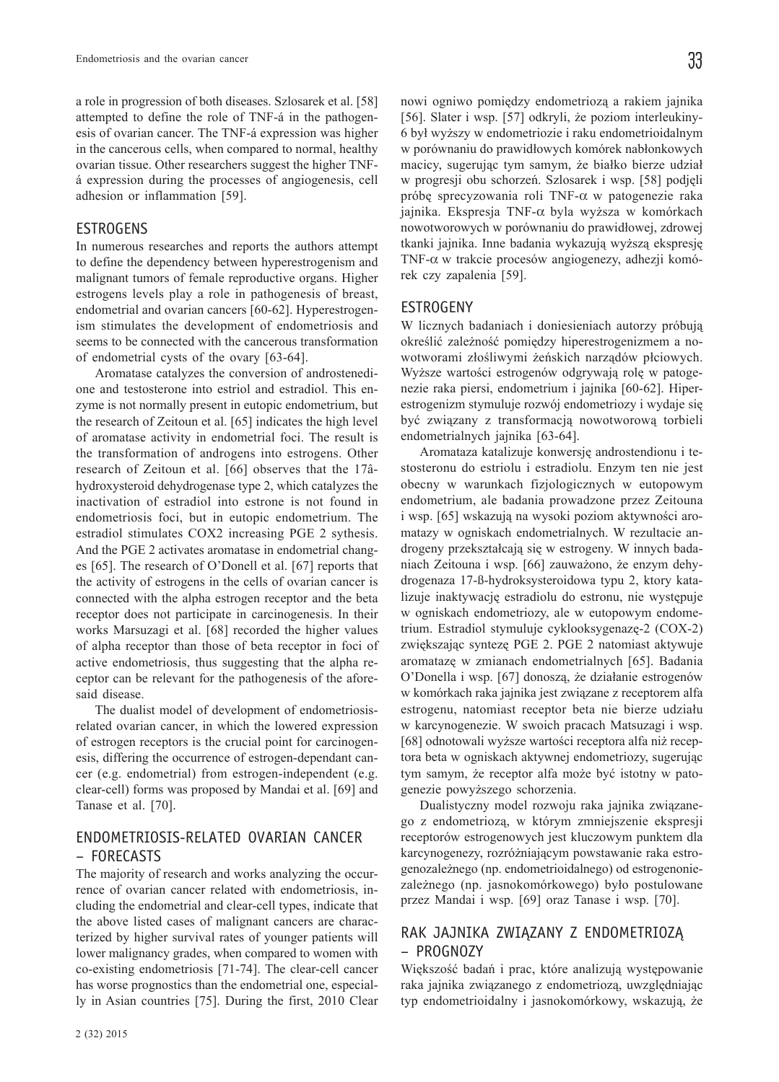a role in progression of both diseases. Szlosarek et al. [58] attempted to define the role of TNF-á in the pathogenesis of ovarian cancer. The TNF-á expression was higher in the cancerous cells, when compared to normal, healthy ovarian tissue. Other researchers suggest the higher TNFá expression during the processes of angiogenesis, cell adhesion or inflammation [59].

#### **ESTROGENS**

In numerous researches and reports the authors attempt to define the dependency between hyperestrogenism and malignant tumors of female reproductive organs. Higher estrogens levels play a role in pathogenesis of breast, endometrial and ovarian cancers [60-62]. Hyperestrogenism stimulates the development of endometriosis and seems to be connected with the cancerous transformation of endometrial cysts of the ovary [63-64].

Aromatase catalyzes the conversion of androstenedione and testosterone into estriol and estradiol. This enzyme is not normally present in eutopic endometrium, but the research of Zeitoun et al. [65] indicates the high level of aromatase activity in endometrial foci. The result is the transformation of androgens into estrogens. Other research of Zeitoun et al. [66] observes that the 17âhydroxysteroid dehydrogenase type 2, which catalyzes the inactivation of estradiol into estrone is not found in endometriosis foci, but in eutopic endometrium. The estradiol stimulates COX2 increasing PGE 2 sythesis. And the PGE 2 activates aromatase in endometrial changes [65]. The research of O'Donell et al. [67] reports that the activity of estrogens in the cells of ovarian cancer is connected with the alpha estrogen receptor and the beta receptor does not participate in carcinogenesis. In their works Marsuzagi et al. [68] recorded the higher values of alpha receptor than those of beta receptor in foci of active endometriosis, thus suggesting that the alpha receptor can be relevant for the pathogenesis of the aforesaid disease.

The dualist model of development of endometriosisrelated ovarian cancer, in which the lowered expression of estrogen receptors is the crucial point for carcinogenesis, differing the occurrence of estrogen-dependant cancer (e.g. endometrial) from estrogen-independent (e.g. clear-cell) forms was proposed by Mandai et al. [69] and Tanase et al. [70].

# ENDOMETRIOSIS-RELATED OVARIAN CANCER – FORECASTS

The majority of research and works analyzing the occurrence of ovarian cancer related with endometriosis, including the endometrial and clear-cell types, indicate that the above listed cases of malignant cancers are characterized by higher survival rates of younger patients will lower malignancy grades, when compared to women with co-existing endometriosis [71-74]. The clear-cell cancer has worse prognostics than the endometrial one, especially in Asian countries [75]. During the first, 2010 Clear

nowi ogniwo pomiędzy endometriozą a rakiem jajnika [56]. Slater i wsp. [57] odkryli, że poziom interleukiny-6 by³ wy¿szy w endometriozie i raku endometrioidalnym w porównaniu do prawidłowych komórek nabłonkowych macicy, sugerując tym samym, że białko bierze udział w progresji obu schorzeñ. Szlosarek i wsp. [58] podjêli próbê sprecyzowania roli TNF-α w patogenezie raka jajnika. Ekspresja TNF- $\alpha$  byla wyższa w komórkach nowotworowych w porównaniu do prawidłowej, zdrowej tkanki jajnika. Inne badania wykazują wyższą ekspresję TNF-α w trakcie procesów angiogenezy, adhezji komórek czy zapalenia [59].

#### **ESTROGENY**

W licznych badaniach i doniesieniach autorzy próbują określić zależność pomiędzy hiperestrogenizmem a nowotworami złośliwymi żeńskich narządów płciowych. Wyższe wartości estrogenów odgrywają rolę w patogenezie raka piersi, endometrium i jajnika [60-62]. Hiperestrogenizm stymuluje rozwój endometriozy i wydaje się być związany z transformacją nowotworową torbieli endometrialnych jajnika [63-64].

Aromataza katalizuje konwersjê androstendionu i testosteronu do estriolu i estradiolu. Enzym ten nie jest obecny w warunkach fizjologicznych w eutopowym endometrium, ale badania prowadzone przez Zeitouna i wsp. [65] wskazują na wysoki poziom aktywności aromatazy w ogniskach endometrialnych. W rezultacie androgeny przekształcają się w estrogeny. W innych badaniach Zeitouna i wsp. [66] zauważono, że enzym dehydrogenaza 17-ß-hydroksysteroidowa typu 2, ktory katalizuje inaktywację estradiolu do estronu, nie występuje w ogniskach endometriozy, ale w eutopowym endometrium. Estradiol stymuluje cyklooksygenazę-2 (COX-2) zwiększając syntezę PGE 2. PGE 2 natomiast aktywuje aromatazê w zmianach endometrialnych [65]. Badania O'Donella i wsp. [67] donoszą, że działanie estrogenów w komórkach raka jajnika jest związane z receptorem alfa estrogenu, natomiast receptor beta nie bierze udziału w karcynogenezie. W swoich pracach Matsuzagi i wsp. [68] odnotowali wyższe wartości receptora alfa niż receptora beta w ogniskach aktywnej endometriozy, sugerując tym samym, że receptor alfa może być istotny w patogenezie powyższego schorzenia.

Dualistyczny model rozwoju raka jajnika związanego z endometrioz¹, w którym zmniejszenie ekspresji receptorów estrogenowych jest kluczowym punktem dla karcynogenezy, rozróżniającym powstawanie raka estrogenozależnego (np. endometrioidalnego) od estrogenoniezależnego (np. jasnokomórkowego) było postulowane przez Mandai i wsp. [69] oraz Tanase i wsp. [70].

# RAK JAJNIKA ZWIĄZANY Z ENDOMETRIOZĄ – PROGNOZY

Większość badań i prac, które analizują występowanie raka jajnika związanego z endometriozą, uwzględniając typ endometrioidalny i jasnokomórkowy, wskazują, że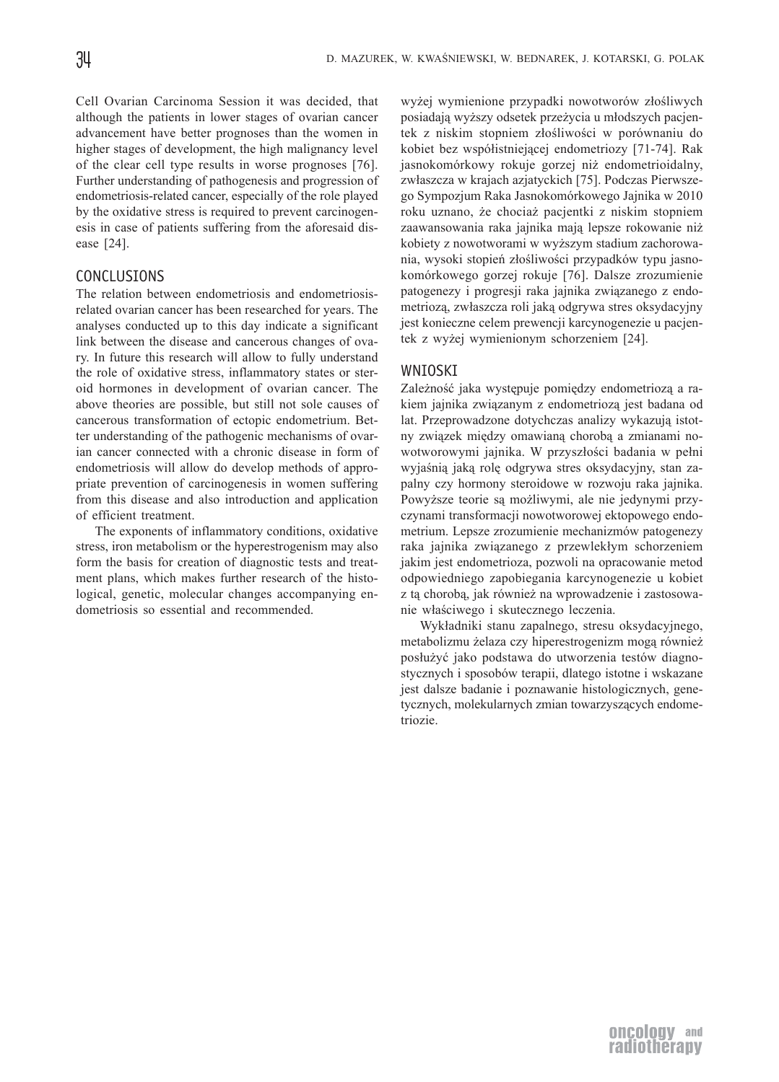Cell Ovarian Carcinoma Session it was decided, that although the patients in lower stages of ovarian cancer advancement have better prognoses than the women in higher stages of development, the high malignancy level of the clear cell type results in worse prognoses [76]. Further understanding of pathogenesis and progression of endometriosis-related cancer, especially of the role played by the oxidative stress is required to prevent carcinogenesis in case of patients suffering from the aforesaid disease [24].

# CONCLUSIONS

The relation between endometriosis and endometriosisrelated ovarian cancer has been researched for years. The analyses conducted up to this day indicate a significant link between the disease and cancerous changes of ovary. In future this research will allow to fully understand the role of oxidative stress, inflammatory states or steroid hormones in development of ovarian cancer. The above theories are possible, but still not sole causes of cancerous transformation of ectopic endometrium. Better understanding of the pathogenic mechanisms of ovarian cancer connected with a chronic disease in form of endometriosis will allow do develop methods of appropriate prevention of carcinogenesis in women suffering from this disease and also introduction and application of efficient treatment.

The exponents of inflammatory conditions, oxidative stress, iron metabolism or the hyperestrogenism may also form the basis for creation of diagnostic tests and treatment plans, which makes further research of the histological, genetic, molecular changes accompanying endometriosis so essential and recommended.

wyżej wymienione przypadki nowotworów złośliwych posiadają wyższy odsetek przeżycia u młodszych pacjentek z niskim stopniem złośliwości w porównaniu do kobiet bez współistniejącej endometriozy [71-74]. Rak jasnokomórkowy rokuje gorzej niż endometrioidalny, zwłaszcza w krajach azjatyckich [75]. Podczas Pierwszego Sympozjum Raka Jasnokomórkowego Jajnika w 2010 roku uznano, ¿e chocia¿ pacjentki z niskim stopniem zaawansowania raka jajnika mają lepsze rokowanie niż kobiety z nowotworami w wy¿szym stadium zachorowania, wysoki stopień złośliwości przypadków typu jasnokomórkowego gorzej rokuje [76]. Dalsze zrozumienie patogenezy i progresji raka jajnika związanego z endometriozą, zwłaszcza roli jaką odgrywa stres oksydacyjny jest konieczne celem prewencji karcynogenezie u pacjentek z wyżej wymienionym schorzeniem [24].

# WNIOSKI

Zależność jaka występuje pomiędzy endometriozą a rakiem jajnika związanym z endometriozą jest badana od lat. Przeprowadzone dotychczas analizy wykazują istotny związek między omawianą chorobą a zmianami nowotworowymi jajnika. W przyszłości badania w pełni wyjaśnią jaką rolę odgrywa stres oksydacyjny, stan zapalny czy hormony steroidowe w rozwoju raka jajnika. Powyższe teorie są możliwymi, ale nie jedynymi przyczynami transformacji nowotworowej ektopowego endometrium. Lepsze zrozumienie mechanizmów patogenezy raka jajnika związanego z przewlekłym schorzeniem jakim jest endometrioza, pozwoli na opracowanie metod odpowiedniego zapobiegania karcynogenezie u kobiet z tą chorobą, jak również na wprowadzenie i zastosowanie właściwego i skutecznego leczenia.

Wyk³adniki stanu zapalnego, stresu oksydacyjnego, metabolizmu żelaza czy hiperestrogenizm mogą również posłużyć jako podstawa do utworzenia testów diagnostycznych i sposobów terapii, dlatego istotne i wskazane jest dalsze badanie i poznawanie histologicznych, genetycznych, molekularnych zmian towarzyszących endometriozie.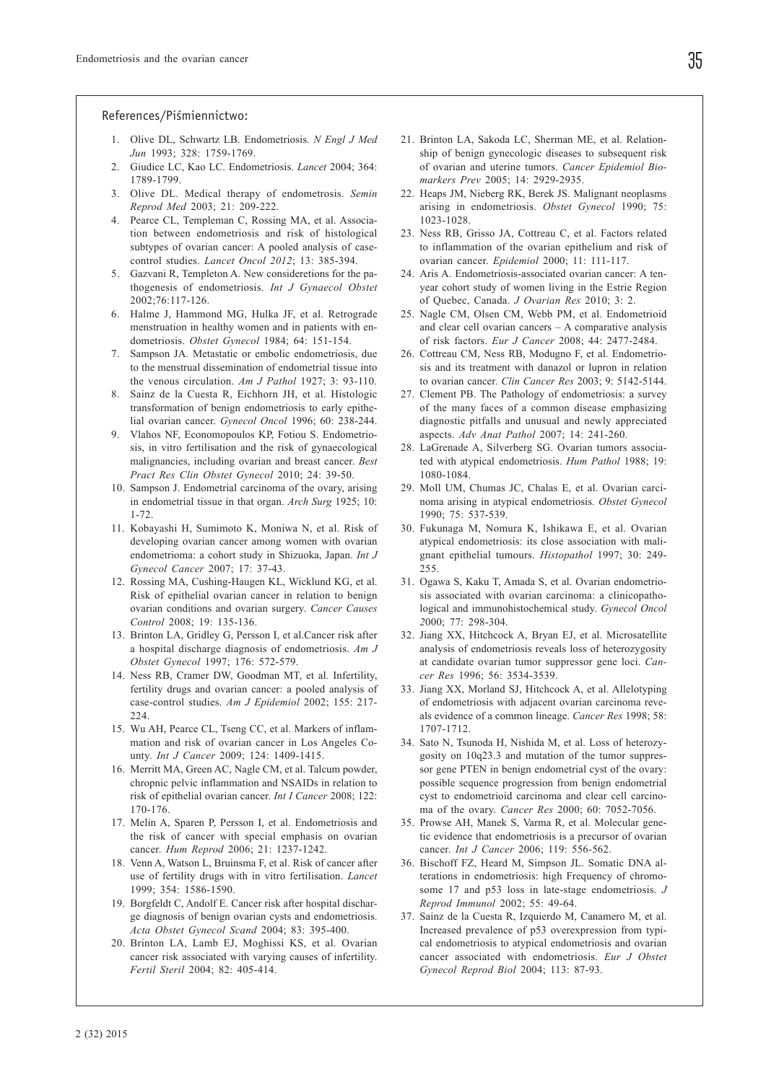#### References/Piśmiennictwo:

- 1. Olive DL, Schwartz LB. Endometriosis. *N Engl J Med Jun* 1993; 328: 1759-1769.
- 2. Giudice LC, Kao LC. Endometriosis. *Lancet* 2004; 364: 1789-1799.
- 3. Olive DL. Medical therapy of endometrosis. *Semin Reprod Med* 2003; 21: 209-222.
- 4. Pearce CL, Templeman C, Rossing MA, et al. Association between endometriosis and risk of histological subtypes of ovarian cancer: A pooled analysis of casecontrol studies. *Lancet Oncol 2012*; 13: 385-394.
- 5. Gazvani R, Templeton A. New consideretions for the pathogenesis of endometriosis. *Int J Gynaecol Obstet* 2002;76:117-126.
- 6. Halme J, Hammond MG, Hulka JF, et al. Retrograde menstruation in healthy women and in patients with endometriosis. *Obstet Gynecol* 1984; 64: 151-154.
- 7. Sampson JA. Metastatic or embolic endometriosis, due to the menstrual dissemination of endometrial tissue into the venous circulation. *Am J Pathol* 1927; 3: 93-110.
- 8. Sainz de la Cuesta R, Eichhorn JH, et al. Histologic transformation of benign endometriosis to early epithelial ovarian cancer. *Gynecol Oncol* 1996; 60: 238-244.
- 9. Vlahos NF, Economopoulos KP, Fotiou S. Endometriosis, in vitro fertilisation and the risk of gynaecological malignancies, including ovarian and breast cancer. *Best Pract Res Clin Obstet Gynecol* 2010; 24: 39-50.
- 10. Sampson J. Endometrial carcinoma of the ovary, arising in endometrial tissue in that organ. *Arch Surg* 1925; 10: 1-72.
- 11. Kobayashi H, Sumimoto K, Moniwa N, et al. Risk of developing ovarian cancer among women with ovarian endometrioma: a cohort study in Shizuoka, Japan. *Int J Gynecol Cancer* 2007; 17: 37-43.
- 12. Rossing MA, Cushing-Haugen KL, Wicklund KG, et al. Risk of epithelial ovarian cancer in relation to benign ovarian conditions and ovarian surgery. *Cancer Causes Control* 2008; 19: 135-136.
- 13. Brinton LA, Gridley G, Persson I, et al.Cancer risk after a hospital discharge diagnosis of endometriosis. *Am J Obstet Gynecol* 1997; 176: 572-579.
- 14. Ness RB, Cramer DW, Goodman MT, et al. Infertility, fertility drugs and ovarian cancer: a pooled analysis of case-control studies. *Am J Epidemiol* 2002; 155: 217- 224.
- 15. Wu AH, Pearce CL, Tseng CC, et al. Markers of inflammation and risk of ovarian cancer in Los Angeles County. *Int J Cancer* 2009; 124: 1409-1415.
- 16. Merritt MA, Green AC, Nagle CM, et al. Talcum powder, chropnic pelvic inflammation and NSAIDs in relation to risk of epithelial ovarian cancer. *Int I Cancer* 2008; 122: 170-176.
- 17. Melin A, Sparen P, Persson I, et al. Endometriosis and the risk of cancer with special emphasis on ovarian cancer. *Hum Reprod* 2006; 21: 1237-1242.
- 18. Venn A, Watson L, Bruinsma F, et al. Risk of cancer after use of fertility drugs with in vitro fertilisation. *Lancet* 1999; 354: 1586-1590.
- 19. Borgfeldt C, Andolf E. Cancer risk after hospital discharge diagnosis of benign ovarian cysts and endometriosis. *Acta Obstet Gynecol Scand* 2004; 83: 395-400.
- 20. Brinton LA, Lamb EJ, Moghissi KS, et al. Ovarian cancer risk associated with varying causes of infertility. *Fertil Steril* 2004; 82: 405-414.
- 21. Brinton LA, Sakoda LC, Sherman ME, et al. Relationship of benign gynecologic diseases to subsequent risk of ovarian and uterine tumors. *Cancer Epidemiol Biomarkers Prev* 2005; 14: 2929-2935.
- 22. Heaps JM, Nieberg RK, Berek JS. Malignant neoplasms arising in endometriosis. *Obstet Gynecol* 1990; 75: 1023-1028.
- 23. Ness RB, Grisso JA, Cottreau C, et al. Factors related to inflammation of the ovarian epithelium and risk of ovarian cancer. *Epidemiol* 2000; 11: 111-117.
- 24. Aris A. Endometriosis-associated ovarian cancer: A tenyear cohort study of women living in the Estrie Region of Quebec, Canada. *J Ovarian Res* 2010; 3: 2.
- 25. Nagle CM, Olsen CM, Webb PM, et al. Endometrioid and clear cell ovarian cancers – A comparative analysis of risk factors. *Eur J Cancer* 2008; 44: 2477-2484.
- 26. Cottreau CM, Ness RB, Modugno F, et al. Endometriosis and its treatment with danazol or lupron in relation to ovarian cancer. *Clin Cancer Res* 2003; 9: 5142-5144.
- 27. Clement PB. The Pathology of endometriosis: a survey of the many faces of a common disease emphasizing diagnostic pitfalls and unusual and newly appreciated aspects. *Adv Anat Pathol* 2007; 14: 241-260.
- 28. LaGrenade A, Silverberg SG. Ovarian tumors associated with atypical endometriosis. *Hum Pathol* 1988; 19: 1080-1084.
- 29. Moll UM, Chumas JC, Chalas E, et al. Ovarian carcinoma arising in atypical endometriosis. *Obstet Gynecol* 1990; 75: 537-539.
- 30. Fukunaga M, Nomura K, Ishikawa E, et al. Ovarian atypical endometriosis: its close association with malignant epithelial tumours. *Histopathol* 1997; 30: 249- 255.
- 31. Ogawa S, Kaku T, Amada S, et al. Ovarian endometriosis associated with ovarian carcinoma: a clinicopathological and immunohistochemical study. *Gynecol Oncol 2*000; 77: 298-304.
- 32. Jiang XX, Hitchcock A, Bryan EJ, et al. Microsatellite analysis of endometriosis reveals loss of heterozygosity at candidate ovarian tumor suppressor gene loci. *Cancer Res* 1996; 56: 3534-3539.
- 33. Jiang XX, Morland SJ, Hitchcock A, et al. Allelotyping of endometriosis with adjacent ovarian carcinoma reveals evidence of a common lineage. *Cancer Res* 1998; 58: 1707-1712.
- 34. Sato N, Tsunoda H, Nishida M, et al. Loss of heterozygosity on 10q23.3 and mutation of the tumor suppressor gene PTEN in benign endometrial cyst of the ovary: possible sequence progression from benign endometrial cyst to endometrioid carcinoma and clear cell carcinoma of the ovary. *Cancer Res* 2000; 60: 7052-7056.
- 35. Prowse AH, Manek S, Varma R, et al. Molecular genetic evidence that endometriosis is a precursor of ovarian cancer. *Int J Cancer* 2006; 119: 556-562.
- 36. Bischoff FZ, Heard M, Simpson JL. Somatic DNA alterations in endometriosis: high Frequency of chromosome 17 and p53 loss in late-stage endometriosis. *J Reprod Immunol* 2002; 55: 49-64.
- 37. Sainz de la Cuesta R, Izquierdo M, Canamero M, et al. Increased prevalence of p53 overexpression from typical endometriosis to atypical endometriosis and ovarian cancer associated with endometriosis. *Eur J Obstet Gynecol Reprod Biol* 2004; 113: 87-93.